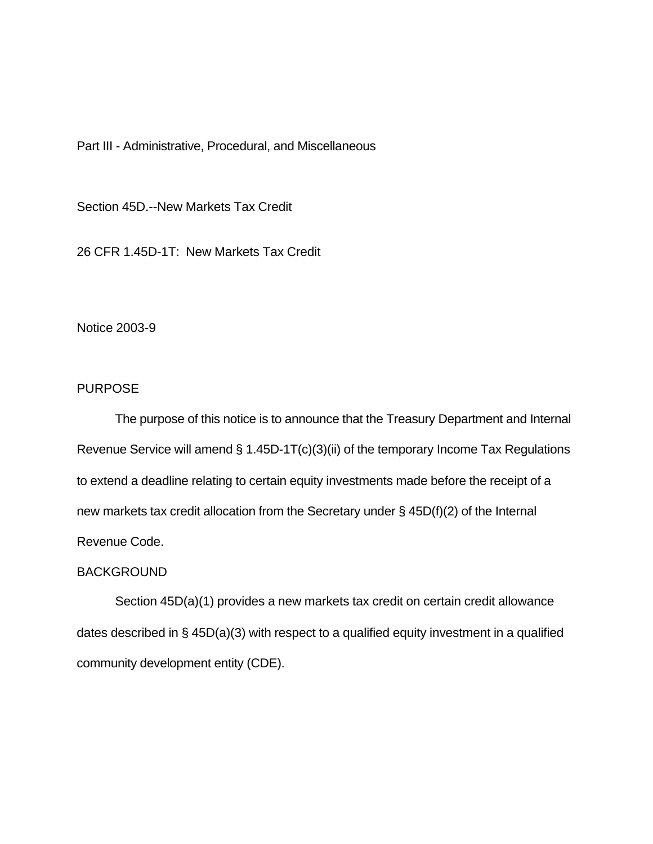Part III - Administrative, Procedural, and Miscellaneous

Section 45D.--New Markets Tax Credit

26 CFR 1.45D-1T: New Markets Tax Credit

Notice 2003-9

## PURPOSE

The purpose of this notice is to announce that the Treasury Department and Internal Revenue Service will amend § 1.45D-1T(c)(3)(ii) of the temporary Income Tax Regulations to extend a deadline relating to certain equity investments made before the receipt of a new markets tax credit allocation from the Secretary under § 45D(f)(2) of the Internal Revenue Code.

## BACKGROUND

Section 45D(a)(1) provides a new markets tax credit on certain credit allowance dates described in § 45D(a)(3) with respect to a qualified equity investment in a qualified community development entity (CDE).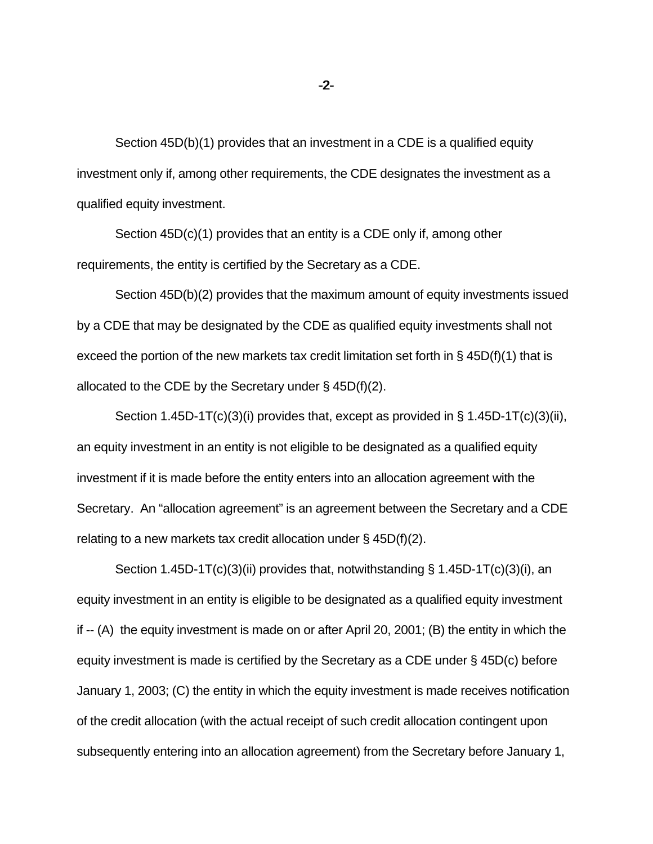Section 45D(b)(1) provides that an investment in a CDE is a qualified equity investment only if, among other requirements, the CDE designates the investment as a qualified equity investment.

Section 45D(c)(1) provides that an entity is a CDE only if, among other requirements, the entity is certified by the Secretary as a CDE.

Section 45D(b)(2) provides that the maximum amount of equity investments issued by a CDE that may be designated by the CDE as qualified equity investments shall not exceed the portion of the new markets tax credit limitation set forth in  $\S$  45D(f)(1) that is allocated to the CDE by the Secretary under § 45D(f)(2).

Section 1.45D-1T(c)(3)(i) provides that, except as provided in § 1.45D-1T(c)(3)(ii), an equity investment in an entity is not eligible to be designated as a qualified equity investment if it is made before the entity enters into an allocation agreement with the Secretary. An "allocation agreement" is an agreement between the Secretary and a CDE relating to a new markets tax credit allocation under § 45D(f)(2).

Section 1.45D-1T(c)(3)(ii) provides that, notwithstanding § 1.45D-1T(c)(3)(i), an equity investment in an entity is eligible to be designated as a qualified equity investment if -- (A) the equity investment is made on or after April 20, 2001; (B) the entity in which the equity investment is made is certified by the Secretary as a CDE under § 45D(c) before January 1, 2003; (C) the entity in which the equity investment is made receives notification of the credit allocation (with the actual receipt of such credit allocation contingent upon subsequently entering into an allocation agreement) from the Secretary before January 1,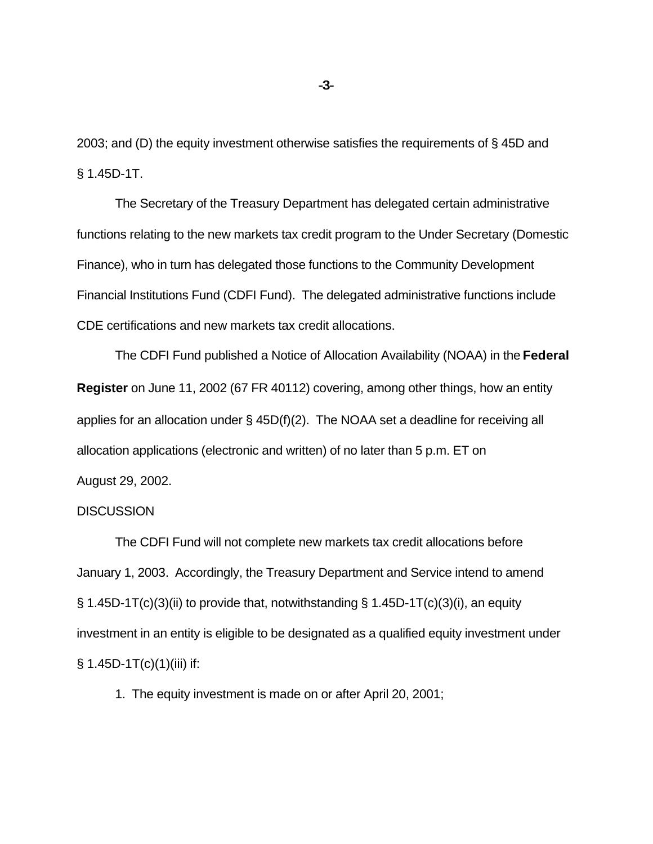2003; and (D) the equity investment otherwise satisfies the requirements of § 45D and § 1.45D-1T.

The Secretary of the Treasury Department has delegated certain administrative functions relating to the new markets tax credit program to the Under Secretary (Domestic Finance), who in turn has delegated those functions to the Community Development Financial Institutions Fund (CDFI Fund). The delegated administrative functions include CDE certifications and new markets tax credit allocations.

The CDFI Fund published a Notice of Allocation Availability (NOAA) in the **Federal Register** on June 11, 2002 (67 FR 40112) covering, among other things, how an entity applies for an allocation under  $\S$  45D(f)(2). The NOAA set a deadline for receiving all allocation applications (electronic and written) of no later than 5 p.m. ET on August 29, 2002.

## **DISCUSSION**

The CDFI Fund will not complete new markets tax credit allocations before January 1, 2003. Accordingly, the Treasury Department and Service intend to amend  $\S$  1.45D-1T(c)(3)(ii) to provide that, notwithstanding  $\S$  1.45D-1T(c)(3)(i), an equity investment in an entity is eligible to be designated as a qualified equity investment under  $§ 1.45D-1T(c)(1)(iii)$  if:

1. The equity investment is made on or after April 20, 2001;